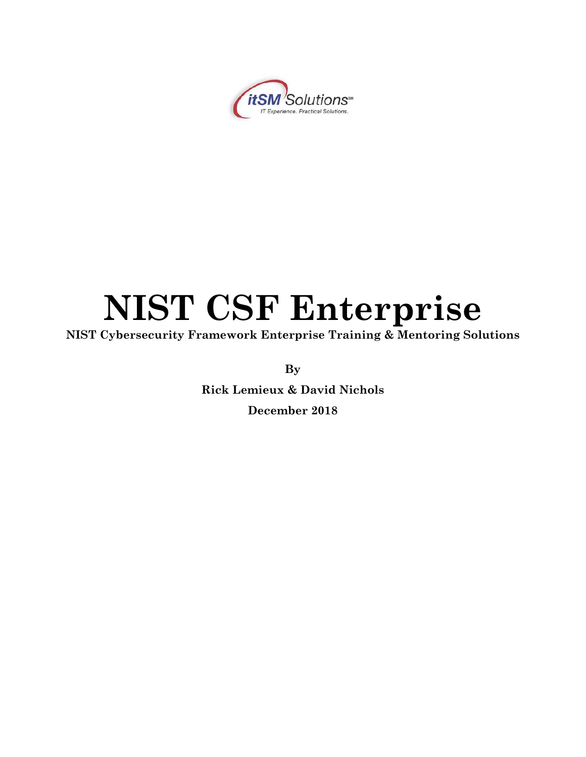

# **NIST CSF Enterprise**

**NIST Cybersecurity Framework Enterprise Training & Mentoring Solutions**

**By**

**Rick Lemieux & David Nichols December 2018**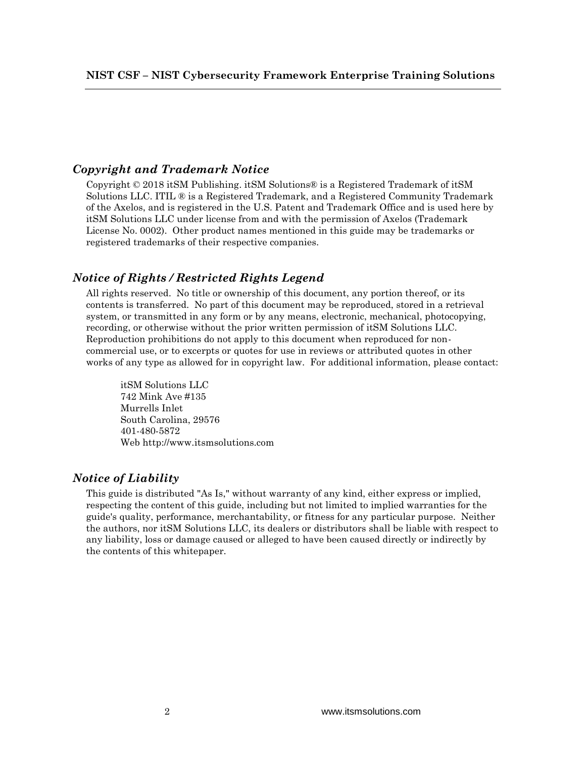## *Copyright and Trademark Notice*

Copyright © 2018 itSM Publishing. itSM Solutions® is a Registered Trademark of itSM Solutions LLC. ITIL ® is a Registered Trademark, and a Registered Community Trademark of the Axelos, and is registered in the U.S. Patent and Trademark Office and is used here by itSM Solutions LLC under license from and with the permission of Axelos (Trademark License No. 0002). Other product names mentioned in this guide may be trademarks or registered trademarks of their respective companies.

## *Notice of Rights / Restricted Rights Legend*

All rights reserved. No title or ownership of this document, any portion thereof, or its contents is transferred. No part of this document may be reproduced, stored in a retrieval system, or transmitted in any form or by any means, electronic, mechanical, photocopying, recording, or otherwise without the prior written permission of itSM Solutions LLC. Reproduction prohibitions do not apply to this document when reproduced for noncommercial use, or to excerpts or quotes for use in reviews or attributed quotes in other works of any type as allowed for in copyright law. For additional information, please contact:

itSM Solutions LLC 742 Mink Ave #135 Murrells Inlet South Carolina, 29576 401-480-5872 Web http://www.itsmsolutions.com

## *Notice of Liability*

This guide is distributed "As Is," without warranty of any kind, either express or implied, respecting the content of this guide, including but not limited to implied warranties for the guide's quality, performance, merchantability, or fitness for any particular purpose. Neither the authors, nor itSM Solutions LLC, its dealers or distributors shall be liable with respect to any liability, loss or damage caused or alleged to have been caused directly or indirectly by the contents of this whitepaper.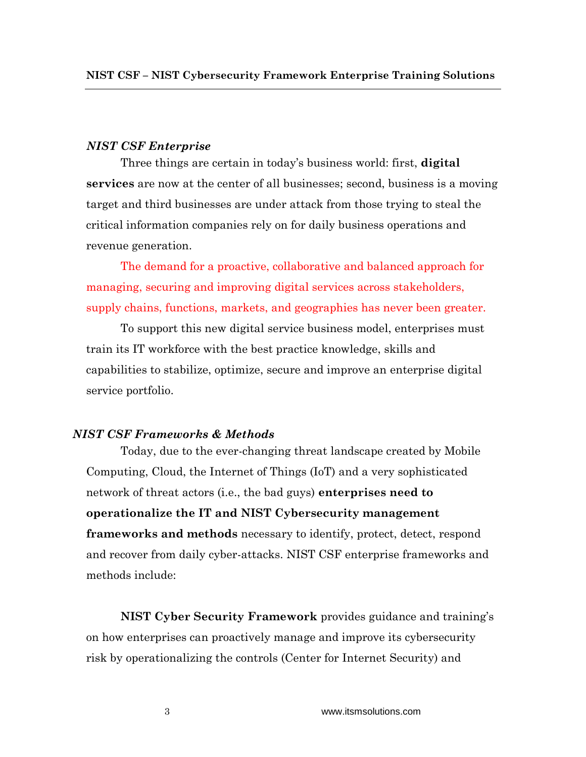## *NIST CSF Enterprise*

Three things are certain in today's business world: first, **digital services** are now at the center of all businesses; second, business is a moving target and third businesses are under attack from those trying to steal the critical information companies rely on for daily business operations and revenue generation.

The demand for a proactive, collaborative and balanced approach for managing, securing and improving digital services across stakeholders, supply chains, functions, markets, and geographies has never been greater.

To support this new digital service business model, enterprises must train its IT workforce with the best practice knowledge, skills and capabilities to stabilize, optimize, secure and improve an enterprise digital service portfolio.

## *NIST CSF Frameworks & Methods*

Today, due to the ever-changing threat landscape created by Mobile Computing, Cloud, the Internet of Things (IoT) and a very sophisticated network of threat actors (i.e., the bad guys) **enterprises need to operationalize the IT and NIST Cybersecurity management frameworks and methods** necessary to identify, protect, detect, respond and recover from daily cyber-attacks. NIST CSF enterprise frameworks and methods include:

**NIST Cyber Security Framework** provides guidance and training's on how enterprises can proactively manage and improve its cybersecurity risk by operationalizing the controls (Center for Internet Security) and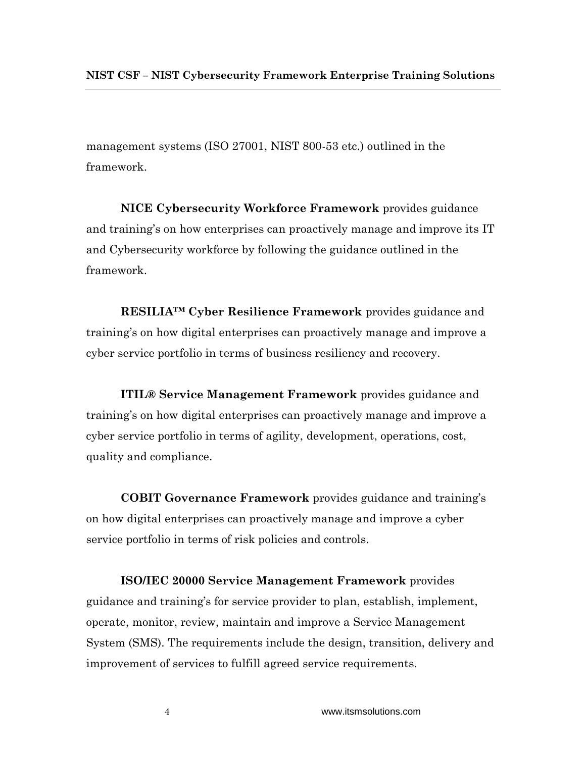management systems (ISO 27001, NIST 800-53 etc.) outlined in the framework.

**NICE Cybersecurity Workforce Framework** provides guidance and training's on how enterprises can proactively manage and improve its IT and Cybersecurity workforce by following the guidance outlined in the framework.

**RESILIA™ Cyber Resilience Framework** provides guidance and training's on how digital enterprises can proactively manage and improve a cyber service portfolio in terms of business resiliency and recovery.

**ITIL® Service Management Framework** provides guidance and training's on how digital enterprises can proactively manage and improve a cyber service portfolio in terms of agility, development, operations, cost, quality and compliance.

**COBIT Governance Framework** provides guidance and training's on how digital enterprises can proactively manage and improve a cyber service portfolio in terms of risk policies and controls.

**ISO/IEC 20000 Service Management Framework** provides guidance and training's for service provider to plan, establish, implement, operate, monitor, review, maintain and improve a Service Management System (SMS). The requirements include the design, transition, delivery and improvement of services to fulfill agreed service requirements.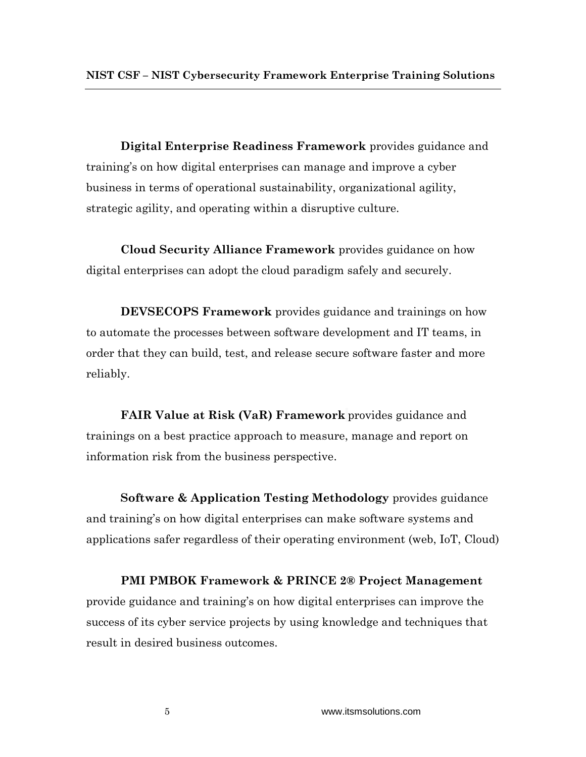**Digital Enterprise Readiness Framework** provides guidance and training's on how digital enterprises can manage and improve a cyber business in terms of operational sustainability, organizational agility, strategic agility, and operating within a disruptive culture.

**Cloud Security Alliance Framework** provides guidance on how digital enterprises can adopt the cloud paradigm safely and securely.

**DEVSECOPS Framework** provides guidance and trainings on how to automate the processes between software development and IT teams, in order that they can build, test, and release secure software faster and more reliably.

**FAIR Value at Risk (VaR) Framework** provides guidance and trainings on a best practice approach to measure, manage and report on information risk from the business perspective.

**Software & Application Testing Methodology** provides guidance and training's on how digital enterprises can make software systems and applications safer regardless of their operating environment (web, IoT, Cloud)

**PMI PMBOK Framework & PRINCE 2® Project Management**  provide guidance and training's on how digital enterprises can improve the success of its cyber service projects by using knowledge and techniques that result in desired business outcomes.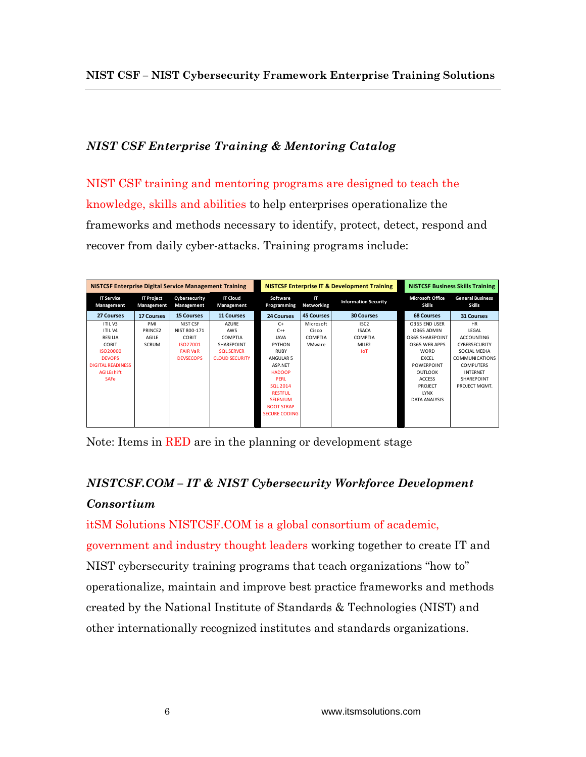## *NIST CSF Enterprise Training & Mentoring Catalog*

NIST CSF training and mentoring programs are designed to teach the knowledge, skills and abilities to help enterprises operationalize the frameworks and methods necessary to identify, protect, detect, respond and recover from daily cyber-attacks. Training programs include:

| <b>NISTCSF Enterprise Digital Service Management Training</b> |                                 |                             | <b>NISTCSF Enterprise IT &amp; Development Training</b> |                         |                         | <b>NISTCSF Business Skills Training</b> |                                          |                                          |
|---------------------------------------------------------------|---------------------------------|-----------------------------|---------------------------------------------------------|-------------------------|-------------------------|-----------------------------------------|------------------------------------------|------------------------------------------|
| <b>IT Service</b><br>Management                               | <b>IT Project</b><br>Management | Cybersecurity<br>Management | <b>IT Cloud</b><br>Management                           | Software<br>Programming | IT<br><b>Networking</b> | <b>Information Security</b>             | <b>Microsoft Office</b><br><b>Skills</b> | <b>General Business</b><br><b>Skills</b> |
| 27 Courses                                                    | <b>17 Courses</b>               | <b>15 Courses</b>           | <b>11 Courses</b>                                       | <b>24 Courses</b>       | <b>45 Courses</b>       | <b>30 Courses</b>                       | <b>68 Courses</b>                        | <b>31 Courses</b>                        |
| <b>ITILV3</b>                                                 | PMI                             | NIST CSF                    | <b>AZURE</b>                                            | $C+$                    | Microsoft               | ISC <sub>2</sub>                        | O365 END USER                            | <b>HR</b>                                |
| <b>ITILV4</b>                                                 | PRINCE2                         | NIST 800-171                | AWS                                                     | $C++$                   | Cisco                   | <b>ISACA</b>                            | 0365 ADMIN                               | LEGAL                                    |
| RESILIA                                                       | AGILE                           | COBIT                       | <b>COMPTIA</b>                                          | <b>JAVA</b>             | <b>COMPTIA</b>          | COMPTIA                                 | 0365 SHAREPOINT                          | <b>ACCOUNTING</b>                        |
| <b>COBIT</b>                                                  | <b>SCRUM</b>                    | ISO27001                    | SHAREPOINT                                              | PYTHON                  | VMware                  | MILE <sub>2</sub>                       | 0365 WEB APPS                            | CYBERSECURITY                            |
| ISO20000                                                      |                                 | <b>FAIR VaR</b>             | <b>SOL SERVER</b>                                       | RUBY                    |                         | <b>IoT</b>                              | WORD                                     | SOCIAL MEDIA                             |
| <b>DEVOPS</b>                                                 |                                 | <b>DEVSECOPS</b>            | <b>CLOUD SECURITY</b>                                   | ANGULAR 5               |                         |                                         | <b>EXCEL</b>                             | <b>COMMUNICATIONS</b>                    |
| <b>DIGITAL READINESS</b>                                      |                                 |                             |                                                         | ASP.NET                 |                         |                                         | POWERPOINT                               | <b>COMPUTERS</b>                         |
| <b>AGILEshift</b>                                             |                                 |                             |                                                         | <b>HADOOP</b>           |                         |                                         | OUTLOOK                                  | <b>INTERNET</b>                          |
| <b>SAFe</b>                                                   |                                 |                             |                                                         | <b>PERL</b>             |                         |                                         | <b>ACCESS</b>                            | <b>SHARFPOINT</b>                        |
|                                                               |                                 |                             |                                                         | <b>SOL 2014</b>         |                         |                                         | PROJECT                                  | PROJECT MGMT.                            |
|                                                               |                                 |                             |                                                         | <b>RESTFUL</b>          |                         |                                         | <b>LYNX</b>                              |                                          |
|                                                               |                                 |                             |                                                         | <b>SELENIUM</b>         |                         |                                         | DATA ANALYSIS                            |                                          |
|                                                               |                                 |                             |                                                         | <b>BOOT STRAP</b>       |                         |                                         |                                          |                                          |
|                                                               |                                 |                             |                                                         | <b>SECURE CODING</b>    |                         |                                         |                                          |                                          |
|                                                               |                                 |                             |                                                         |                         |                         |                                         |                                          |                                          |

Note: Items in RED are in the planning or development stage

# *NISTCSF.COM – IT & NIST Cybersecurity Workforce Development Consortium*

itSM Solutions NISTCSF.COM is a global consortium of academic, government and industry thought leaders working together to create IT and NIST cybersecurity training programs that teach organizations "how to" operationalize, maintain and improve best practice frameworks and methods created by the National Institute of Standards & Technologies (NIST) and other internationally recognized institutes and standards organizations.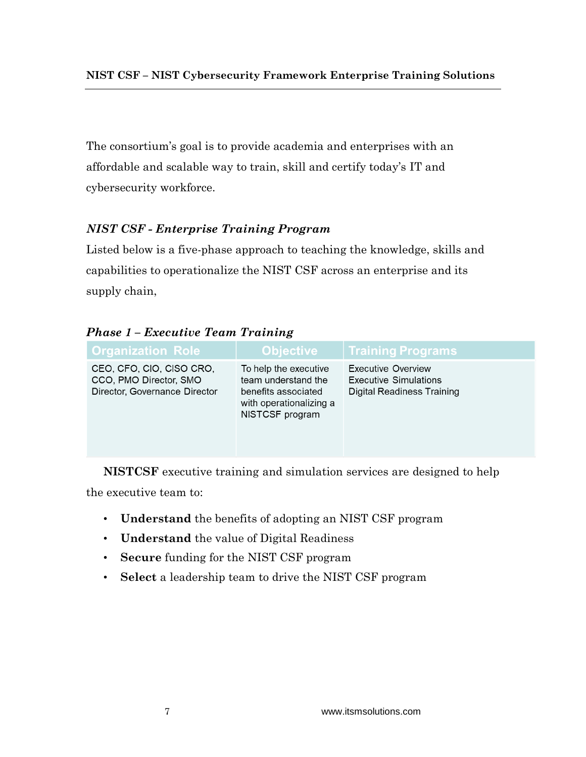The consortium's goal is to provide academia and enterprises with an affordable and scalable way to train, skill and certify today's IT and cybersecurity workforce.

## *NIST CSF - Enterprise Training Program*

Listed below is a five-phase approach to teaching the knowledge, skills and capabilities to operationalize the NIST CSF across an enterprise and its supply chain,

| <b>Organization Role</b>                                                            | <b>Objective</b>                                                                                                  | <b>Training Programs</b>                                                         |
|-------------------------------------------------------------------------------------|-------------------------------------------------------------------------------------------------------------------|----------------------------------------------------------------------------------|
| CEO, CFO, CIO, CISO CRO,<br>CCO, PMO Director, SMO<br>Director, Governance Director | To help the executive<br>team understand the<br>benefits associated<br>with operationalizing a<br>NISTCSF program | Executive Overview<br><b>Executive Simulations</b><br>Digital Readiness Training |

*Phase 1 – Executive Team Training*

**NISTCSF** executive training and simulation services are designed to help the executive team to:

- **Understand** the benefits of adopting an NIST CSF program
- **Understand** the value of Digital Readiness
- **Secure** funding for the NIST CSF program
- **Select** a leadership team to drive the NIST CSF program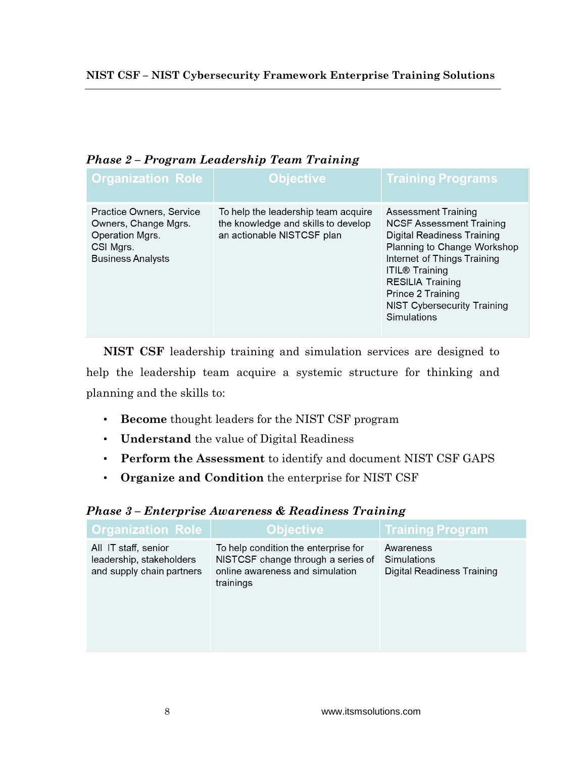| <b>Organization Role</b>                                                                                     | Objective                                                                                                | <b>Training Programs</b>                                                                                                                                                                                                                                                                |  |
|--------------------------------------------------------------------------------------------------------------|----------------------------------------------------------------------------------------------------------|-----------------------------------------------------------------------------------------------------------------------------------------------------------------------------------------------------------------------------------------------------------------------------------------|--|
| Practice Owners, Service<br>Owners, Change Mgrs.<br>Operation Mgrs.<br>CSI Mgrs.<br><b>Business Analysts</b> | To help the leadership team acquire<br>the knowledge and skills to develop<br>an actionable NISTCSF plan | <b>Assessment Training</b><br>NCSF Assessment Training<br><b>Digital Readiness Training</b><br>Planning to Change Workshop<br>Internet of Things Training<br><b>ITIL® Training</b><br><b>RESILIA Training</b><br>Prince 2 Training<br><b>NIST Cybersecurity Training</b><br>Simulations |  |

## *Phase 2 – Program Leadership Team Training*

**NIST CSF** leadership training and simulation services are designed to help the leadership team acquire a systemic structure for thinking and planning and the skills to:

- **Become** thought leaders for the NIST CSF program
- **Understand** the value of Digital Readiness
- **Perform the Assessment** to identify and document NIST CSF GAPS
- **Organize and Condition** the enterprise for NIST CSF

| <b>Organization Role</b>                                                      | <b>Objective</b>                                                                                                           | <b>Training Program</b>                                       |
|-------------------------------------------------------------------------------|----------------------------------------------------------------------------------------------------------------------------|---------------------------------------------------------------|
| All IT staff, senior<br>leadership, stakeholders<br>and supply chain partners | To help condition the enterprise for<br>NISTCSF change through a series of<br>online awareness and simulation<br>trainings | Awareness<br>Simulations<br><b>Digital Readiness Training</b> |

## *Phase 3 – Enterprise Awareness & Readiness Training*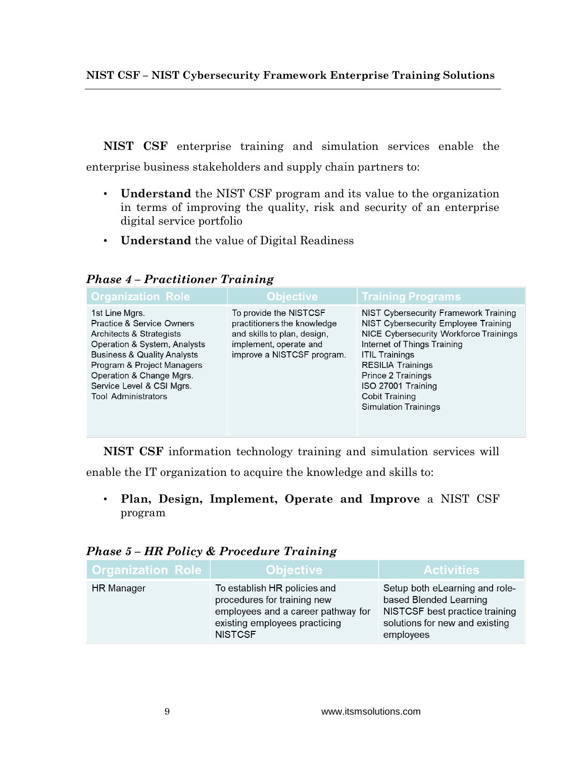**NIST CSF – NIST Cybersecurity Framework Enterprise Training Solutions**

**NIST CSF** enterprise training and simulation services enable the enterprise business stakeholders and supply chain partners to:

- **Understand** the NIST CSF program and its value to the organization in terms of improving the quality, risk and security of an enterprise digital service portfolio
- **Understand** the value of Digital Readiness

*Phase 4 – Practitioner Training*

| <b>Organization Role</b>                                                                                                                                                                                                                                                          | <b>Objective</b>                                                                                                                             | <b>Training Programs</b>                                                                                                                                                                                                                                                                                        |
|-----------------------------------------------------------------------------------------------------------------------------------------------------------------------------------------------------------------------------------------------------------------------------------|----------------------------------------------------------------------------------------------------------------------------------------------|-----------------------------------------------------------------------------------------------------------------------------------------------------------------------------------------------------------------------------------------------------------------------------------------------------------------|
| 1st Line Mgrs.<br><b>Practice &amp; Service Owners</b><br>Architects & Strategists<br>Operation & System, Analysts<br><b>Business &amp; Quality Analysts</b><br>Program & Project Managers<br>Operation & Change Mgrs.<br>Service Level & CSI Mgrs.<br><b>Tool Administrators</b> | To provide the NISTCSF<br>practitioners the knowledge<br>and skills to plan, design,<br>implement, operate and<br>improve a NISTCSF program. | NIST Cybersecurity Framework Training<br>NIST Cybersecurity Employee Training<br>NICE Cybersecurity Workforce Trainings<br>Internet of Things Training<br><b>ITIL Trainings</b><br><b>RESILIA Trainings</b><br>Prince 2 Trainings<br>ISO 27001 Training<br><b>Cobit Training</b><br><b>Simulation Trainings</b> |

**NIST CSF** information technology training and simulation services will

enable the IT organization to acquire the knowledge and skills to:

• **Plan, Design, Implement, Operate and Improve** a NIST CSF program

|  |  |  |  | <b>Phase 5 - HR Policy &amp; Procedure Training</b> |  |  |
|--|--|--|--|-----------------------------------------------------|--|--|
|--|--|--|--|-----------------------------------------------------|--|--|

| <b>Organization Role</b> | <b>Objective</b> \                                                                                                                                   | <b>Activities</b>                                                                                                                         |
|--------------------------|------------------------------------------------------------------------------------------------------------------------------------------------------|-------------------------------------------------------------------------------------------------------------------------------------------|
| <b>HR</b> Manager        | To establish HR policies and<br>procedures for training new<br>employees and a career pathway for<br>existing employees practicing<br><b>NISTCSF</b> | Setup both eLearning and role-<br>based Blended Learning<br>NISTCSF best practice training<br>solutions for new and existing<br>employees |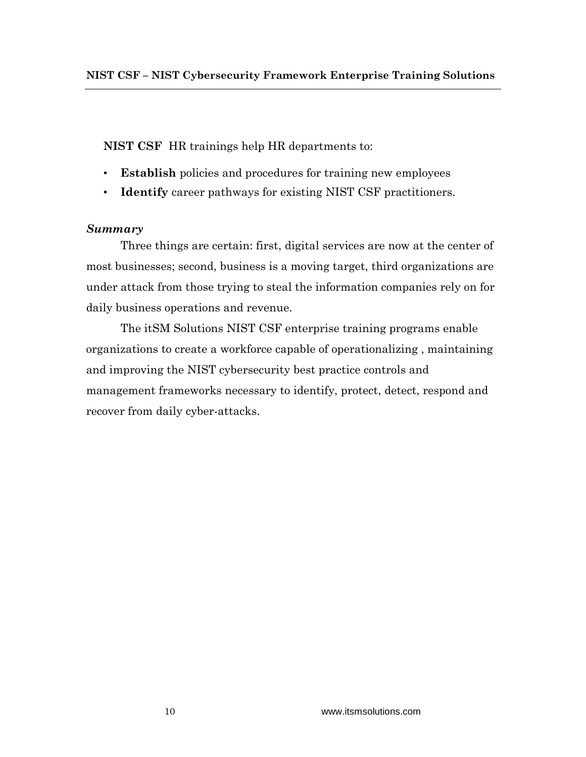**NIST CSF** HR trainings help HR departments to:

- **Establish** policies and procedures for training new employees
- **Identify** career pathways for existing NIST CSF practitioners.

## *Summary*

Three things are certain: first, digital services are now at the center of most businesses; second, business is a moving target, third organizations are under attack from those trying to steal the information companies rely on for daily business operations and revenue.

The itSM Solutions NIST CSF enterprise training programs enable organizations to create a workforce capable of operationalizing , maintaining and improving the NIST cybersecurity best practice controls and management frameworks necessary to identify, protect, detect, respond and recover from daily cyber-attacks.